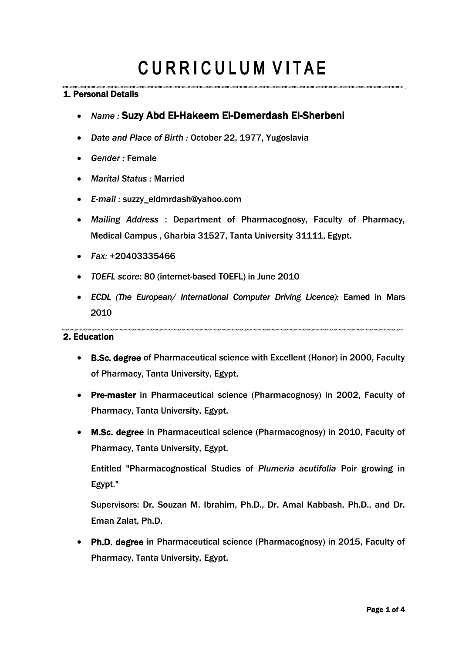# **CURRICULUM VITAE**

### 1. Personal Details

- *Name :* Suzy Abd El-Hakeem El-Demerdash El-Sherbeni
- *Date and Place of Birth :* October 22, 1977, Yugoslavia
- *Gender :* Female
- *Marital Status :* Married
- *E-mail :* suzzy\_eldmrdash@yahoo.com
- *Mailing Address* : Department of Pharmacognosy, Faculty of Pharmacy, Medical Campus , Gharbia 31527, Tanta University 31111, Egypt.
- *Fax:* +20403335466
- *TOEFL score*: 80 (internet-based TOEFL) in June 2010
- *ECDL (The European/ International Computer Driving Licence):* Earned in Mars 2010

#### 2. Education

- B.Sc. degree of Pharmaceutical science with Excellent (Honor) in 2000, Faculty of Pharmacy, Tanta University, Egypt.
- Pre-master in Pharmaceutical science (Pharmacognosy) in 2002, Faculty of Pharmacy, Tanta University, Egypt.
- M.Sc. degree in Pharmaceutical science (Pharmacognosy) in 2010, Faculty of Pharmacy, Tanta University, Egypt.

Entitled "Pharmacognostical Studies of *Plumeria acutifolia* Poir growing in Egypt."

Supervisors: Dr. Souzan M. Ibrahim, Ph.D., Dr. Amal Kabbash, Ph.D., and Dr. Eman Zalat, Ph.D.

 Ph.D. degree in Pharmaceutical science (Pharmacognosy) in 2015, Faculty of Pharmacy, Tanta University, Egypt.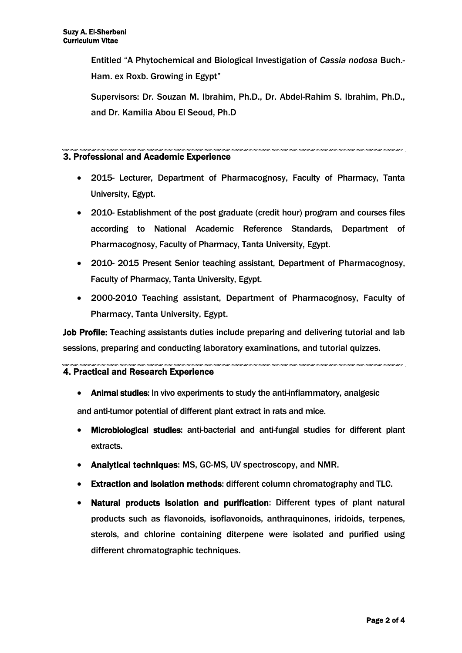Entitled "A Phytochemical and Biological Investigation of *Cassia nodosa* Buch.- Ham. ex Roxb. Growing in Egypt"

Supervisors: Dr. Souzan M. Ibrahim, Ph.D., Dr. Abdel-Rahim S. Ibrahim, Ph.D., and Dr. Kamilia Abou El Seoud, Ph.D

#### 3. Professional and Academic Experience

- 2015- Lecturer, Department of Pharmacognosy, Faculty of Pharmacy, Tanta University, Egypt.
- 2010- Establishment of the post graduate (credit hour) program and courses files according to National Academic Reference Standards, Department of Pharmacognosy, Faculty of Pharmacy, Tanta University, Egypt.
- 2010- 2015 Present Senior teaching assistant, Department of Pharmacognosy, Faculty of Pharmacy, Tanta University, Egypt.
- 2000-2010 Teaching assistant, Department of Pharmacognosy, Faculty of Pharmacy, Tanta University, Egypt.

Job Profile: Teaching assistants duties include preparing and delivering tutorial and lab sessions, preparing and conducting laboratory examinations, and tutorial quizzes.

.<br>המכונה המכונה המכונה המכונה המכונה המכונה המכונה המכונה המכונה המכונה המכונה המכונה המכונה המכונה המכונה המכונה המכו

#### 4. Practical and Research Experience

- Animal studies: In vivo experiments to study the anti-inflammatory, analgesic and anti-tumor potential of different plant extract in rats and mice.
- Microbiological studies: anti-bacterial and anti-fungal studies for different plant extracts.
- Analytical techniques: MS, GC-MS, UV spectroscopy, and NMR.
- Extraction and isolation methods: different column chromatography and TLC.
- Natural products isolation and purification: Different types of plant natural products such as flavonoids, isoflavonoids, anthraquinones, iridoids, terpenes, sterols, and chlorine containing diterpene were isolated and purified using different chromatographic techniques.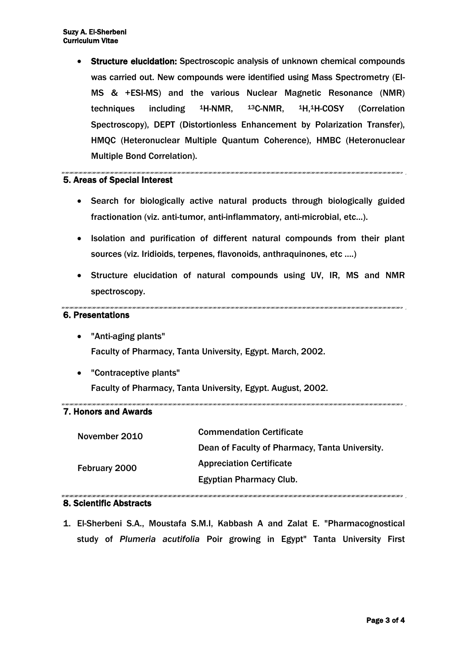Structure elucidation: Spectroscopic analysis of unknown chemical compounds was carried out. New compounds were identified using Mass Spectrometry (EI-MS & +ESI-MS) and the various Nuclear Magnetic Resonance (NMR) techniques including 1H-NMR, 13C-NMR, 1H,1H-COSY (Correlation Spectroscopy), DEPT (Distortionless Enhancement by Polarization Transfer), HMQC (Heteronuclear Multiple Quantum Coherence), HMBC (Heteronuclear Multiple Bond Correlation).

#### 5. Areas of Special Interest

- Search for biologically active natural products through biologically guided fractionation (viz. anti-tumor, anti-inflammatory, anti-microbial, etc…).
- Isolation and purification of different natural compounds from their plant sources (viz. Iridioids, terpenes, flavonoids, anthraquinones, etc ….)
- Structure elucidation of natural compounds using UV, IR, MS and NMR spectroscopy.

#### 

#### 6. Presentations

- "Anti-aging plants" Faculty of Pharmacy, Tanta University, Egypt. March, 2002.
- "Contraceptive plants" Faculty of Pharmacy, Tanta University, Egypt. August, 2002.

#### 7. Honors and Awards

| November 2010<br>February 2000 | <b>Commendation Certificate</b>                |
|--------------------------------|------------------------------------------------|
|                                | Dean of Faculty of Pharmacy, Tanta University. |
|                                | <b>Appreciation Certificate</b>                |
|                                | <b>Egyptian Pharmacy Club.</b>                 |
|                                |                                                |

#### 8. Scientific Abstracts

1. El-Sherbeni S.A., Moustafa S.M.I, Kabbash A and Zalat E. "Pharmacognostical study of *Plumeria acutifolia* Poir growing in Egypt" Tanta University First